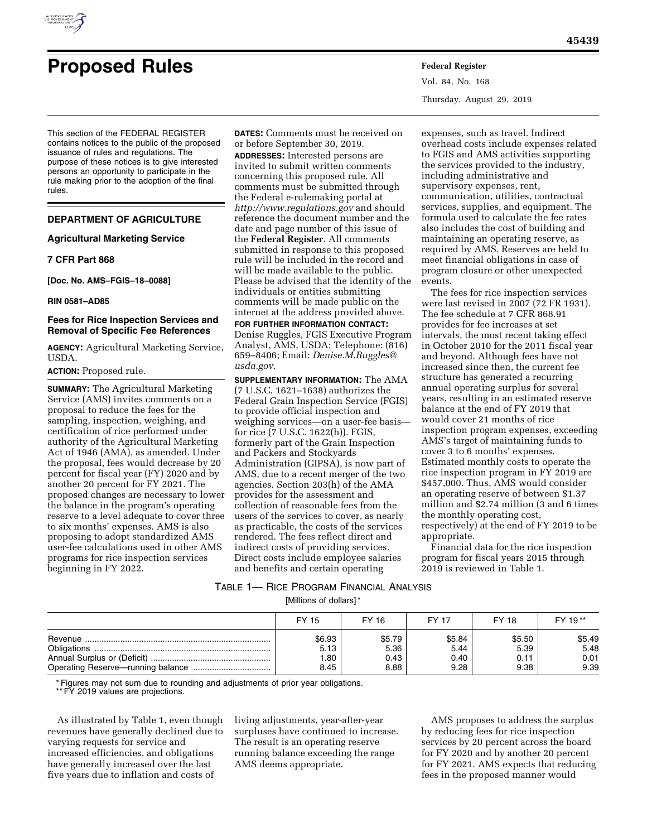

Vol. 84, No. 168 Thursday, August 29, 2019

This section of the FEDERAL REGISTER contains notices to the public of the proposed issuance of rules and regulations. The purpose of these notices is to give interested persons an opportunity to participate in the rule making prior to the adoption of the final rules.

# **DEPARTMENT OF AGRICULTURE**

### **Agricultural Marketing Service**

# **7 CFR Part 868**

**[Doc. No. AMS–FGIS–18–0088]** 

**RIN 0581–AD85** 

### **Fees for Rice Inspection Services and Removal of Specific Fee References**

**AGENCY:** Agricultural Marketing Service, USDA.

### **ACTION:** Proposed rule.

**SUMMARY:** The Agricultural Marketing Service (AMS) invites comments on a proposal to reduce the fees for the sampling, inspection, weighing, and certification of rice performed under authority of the Agricultural Marketing Act of 1946 (AMA), as amended. Under the proposal, fees would decrease by 20 percent for fiscal year (FY) 2020 and by another 20 percent for FY 2021. The proposed changes are necessary to lower the balance in the program's operating reserve to a level adequate to cover three to six months' expenses. AMS is also proposing to adopt standardized AMS user-fee calculations used in other AMS programs for rice inspection services beginning in FY 2022.

**DATES:** Comments must be received on or before September 30, 2019. **ADDRESSES:** Interested persons are invited to submit written comments concerning this proposed rule. All comments must be submitted through the Federal e-rulemaking portal at *<http://www.regulations.gov>* and should reference the document number and the date and page number of this issue of the **Federal Register**. All comments submitted in response to this proposed rule will be included in the record and will be made available to the public. Please be advised that the identity of the individuals or entities submitting comments will be made public on the internet at the address provided above.

**FOR FURTHER INFORMATION CONTACT:**  Denise Ruggles, FGIS Executive Program Analyst, AMS, USDA; Telephone: (816) 659–8406; Email: *[Denise.M.Ruggles@](mailto:Denise.M.Ruggles@usda.gov) [usda.gov](mailto:Denise.M.Ruggles@usda.gov)*.

**SUPPLEMENTARY INFORMATION:** The AMA (7 U.S.C. 1621–1638) authorizes the Federal Grain Inspection Service (FGIS) to provide official inspection and weighing services—on a user-fee basis for rice (7 U.S.C. 1622(h)). FGIS, formerly part of the Grain Inspection and Packers and Stockyards Administration (GIPSA), is now part of AMS, due to a recent merger of the two agencies. Section 203(h) of the AMA provides for the assessment and collection of reasonable fees from the users of the services to cover, as nearly as practicable, the costs of the services rendered. The fees reflect direct and indirect costs of providing services. Direct costs include employee salaries and benefits and certain operating

expenses, such as travel. Indirect overhead costs include expenses related to FGIS and AMS activities supporting the services provided to the industry, including administrative and supervisory expenses, rent, communication, utilities, contractual services, supplies, and equipment. The formula used to calculate the fee rates also includes the cost of building and maintaining an operating reserve, as required by AMS. Reserves are held to meet financial obligations in case of program closure or other unexpected events.

The fees for rice inspection services were last revised in 2007 (72 FR 1931). The fee schedule at 7 CFR 868.91 provides for fee increases at set intervals, the most recent taking effect in October 2010 for the 2011 fiscal year and beyond. Although fees have not increased since then, the current fee structure has generated a recurring annual operating surplus for several years, resulting in an estimated reserve balance at the end of FY 2019 that would cover 21 months of rice inspection program expenses, exceeding AMS's target of maintaining funds to cover 3 to 6 months' expenses. Estimated monthly costs to operate the rice inspection program in FY 2019 are \$457,000. Thus, AMS would consider an operating reserve of between \$1.37 million and \$2.74 million (3 and 6 times the monthly operating cost, respectively) at the end of FY 2019 to be appropriate.

Financial data for the rice inspection program for fiscal years 2015 through 2019 is reviewed in Table 1.

# TABLE 1— RICE PROGRAM FINANCIAL ANALYSIS

[Millions of dollars] \*

| FY 15  | FY 16  | <b>FY 17</b> | FY 18  | FY 19** |
|--------|--------|--------------|--------|---------|
| \$6.93 | \$5.79 | \$5.84       | \$5.50 | \$5.49  |
| 5.13   | 5.36   | 5.44         | 5.39   | 5.48    |
| .80    | 0.43   | 0.40         | 0.11   | 0.01    |
| 8.45   | 8.88   | 9.28         | 9.38   | 9.39    |

\* Figures may not sum due to rounding and adjustments of prior year obligations.

\*\* FY 2019 values are projections.

As illustrated by Table 1, even though revenues have generally declined due to varying requests for service and increased efficiencies, and obligations have generally increased over the last five years due to inflation and costs of

living adjustments, year-after-year surpluses have continued to increase. The result is an operating reserve running balance exceeding the range AMS deems appropriate.

AMS proposes to address the surplus by reducing fees for rice inspection services by 20 percent across the board for FY 2020 and by another 20 percent for FY 2021. AMS expects that reducing fees in the proposed manner would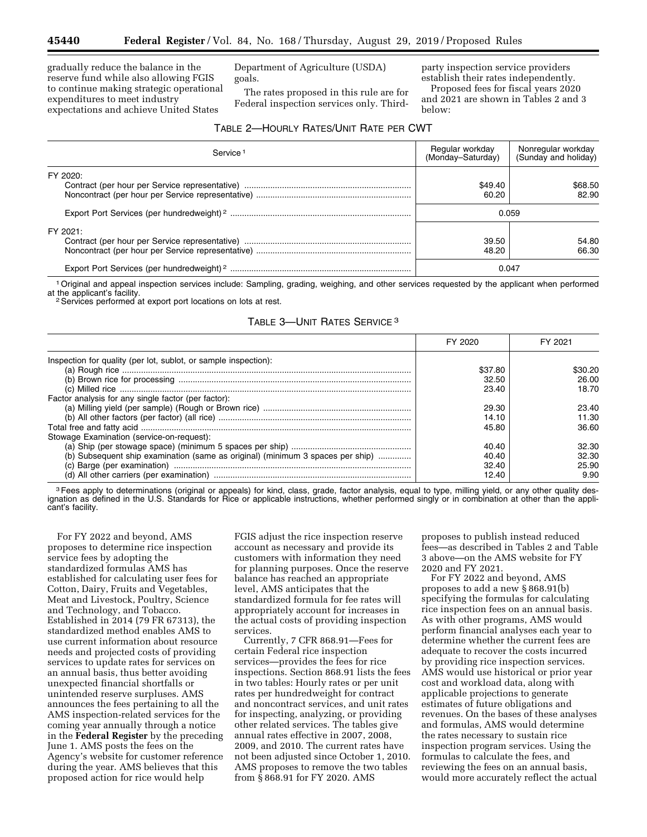gradually reduce the balance in the reserve fund while also allowing FGIS to continue making strategic operational expenditures to meet industry expectations and achieve United States

Department of Agriculture (USDA) goals.

The rates proposed in this rule are for Federal inspection services only. Thirdparty inspection service providers establish their rates independently.

Proposed fees for fiscal years 2020 and 2021 are shown in Tables 2 and 3 below:

| Table 2—Hourly Rates/Unit Rate per CWT |  |
|----------------------------------------|--|
|----------------------------------------|--|

| Service <sup>1</sup> | Regular workday<br>(Monday–Saturday) | Nonregular workday<br>(Sunday and holiday) |
|----------------------|--------------------------------------|--------------------------------------------|
| FY 2020:             | \$49.40<br>60.20                     | \$68.50<br>82.90                           |
|                      | 0.059                                |                                            |
| FY 2021:             | 39.50<br>48.20                       | 54.80<br>66.30                             |
|                      | 0.047                                |                                            |

<sup>1</sup> Original and appeal inspection services include: Sampling, grading, weighing, and other services requested by the applicant when performed at the applicant's facility.

<sup>2</sup> Services performed at export port locations on lots at rest.

|  | TABLE 3-UNIT RATES SERVICE <sup>3</sup> |
|--|-----------------------------------------|
|--|-----------------------------------------|

|                                                                                | FY 2020 | FY 2021 |
|--------------------------------------------------------------------------------|---------|---------|
| Inspection for quality (per lot, sublot, or sample inspection):                |         |         |
|                                                                                | \$37.80 | \$30.20 |
|                                                                                | 32.50   | 26.00   |
|                                                                                | 23.40   | 18.70   |
| Factor analysis for any single factor (per factor):                            |         |         |
|                                                                                | 29.30   | 23.40   |
|                                                                                | 14.10   | 11.30   |
|                                                                                | 45.80   | 36.60   |
| Stowage Examination (service-on-request):                                      |         |         |
|                                                                                | 40.40   | 32.30   |
| (b) Subsequent ship examination (same as original) (minimum 3 spaces per ship) | 40.40   | 32.30   |
|                                                                                | 32.40   | 25.90   |
|                                                                                | 12.40   | 9.90    |

<sup>3</sup>Fees apply to determinations (original or appeals) for kind, class, grade, factor analysis, equal to type, milling yield, or any other quality designation as defined in the U.S. Standards for Rice or applicable instructions, whether performed singly or in combination at other than the applicant's facility.

For FY 2022 and beyond, AMS proposes to determine rice inspection service fees by adopting the standardized formulas AMS has established for calculating user fees for Cotton, Dairy, Fruits and Vegetables, Meat and Livestock, Poultry, Science and Technology, and Tobacco. Established in 2014 (79 FR 67313), the standardized method enables AMS to use current information about resource needs and projected costs of providing services to update rates for services on an annual basis, thus better avoiding unexpected financial shortfalls or unintended reserve surpluses. AMS announces the fees pertaining to all the AMS inspection-related services for the coming year annually through a notice in the **Federal Register** by the preceding June 1. AMS posts the fees on the Agency's website for customer reference during the year. AMS believes that this proposed action for rice would help

FGIS adjust the rice inspection reserve account as necessary and provide its customers with information they need for planning purposes. Once the reserve balance has reached an appropriate level, AMS anticipates that the standardized formula for fee rates will appropriately account for increases in the actual costs of providing inspection services.

Currently, 7 CFR 868.91—Fees for certain Federal rice inspection services—provides the fees for rice inspections. Section 868.91 lists the fees in two tables: Hourly rates or per unit rates per hundredweight for contract and noncontract services, and unit rates for inspecting, analyzing, or providing other related services. The tables give annual rates effective in 2007, 2008, 2009, and 2010. The current rates have not been adjusted since October 1, 2010. AMS proposes to remove the two tables from § 868.91 for FY 2020. AMS

proposes to publish instead reduced fees—as described in Tables 2 and Table 3 above—on the AMS website for FY 2020 and FY 2021.

For FY 2022 and beyond, AMS proposes to add a new § 868.91(b) specifying the formulas for calculating rice inspection fees on an annual basis. As with other programs, AMS would perform financial analyses each year to determine whether the current fees are adequate to recover the costs incurred by providing rice inspection services. AMS would use historical or prior year cost and workload data, along with applicable projections to generate estimates of future obligations and revenues. On the bases of these analyses and formulas, AMS would determine the rates necessary to sustain rice inspection program services. Using the formulas to calculate the fees, and reviewing the fees on an annual basis, would more accurately reflect the actual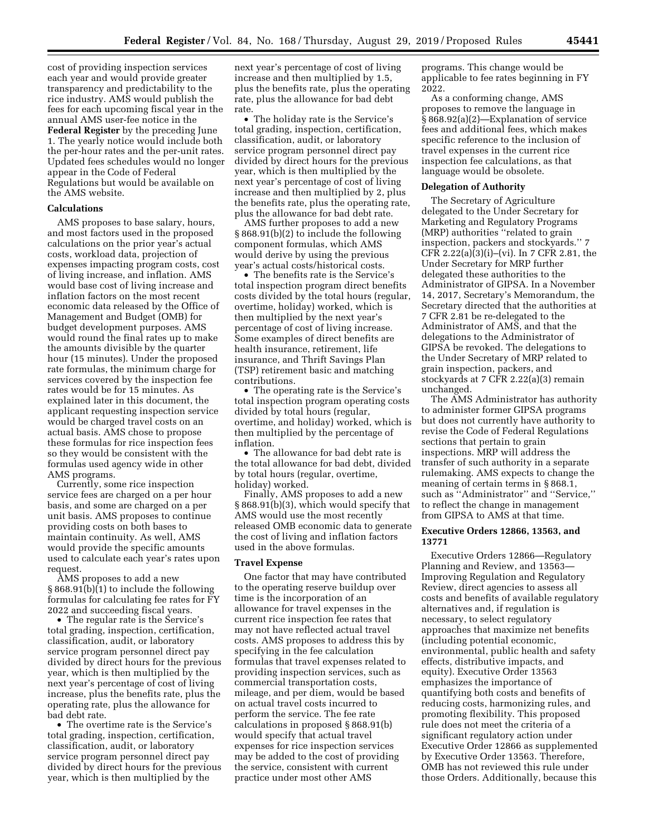cost of providing inspection services each year and would provide greater transparency and predictability to the rice industry. AMS would publish the fees for each upcoming fiscal year in the annual AMS user-fee notice in the **Federal Register** by the preceding June 1. The yearly notice would include both the per-hour rates and the per-unit rates. Updated fees schedules would no longer appear in the Code of Federal Regulations but would be available on the AMS website.

## **Calculations**

AMS proposes to base salary, hours, and most factors used in the proposed calculations on the prior year's actual costs, workload data, projection of expenses impacting program costs, cost of living increase, and inflation. AMS would base cost of living increase and inflation factors on the most recent economic data released by the Office of Management and Budget (OMB) for budget development purposes. AMS would round the final rates up to make the amounts divisible by the quarter hour (15 minutes). Under the proposed rate formulas, the minimum charge for services covered by the inspection fee rates would be for 15 minutes. As explained later in this document, the applicant requesting inspection service would be charged travel costs on an actual basis. AMS chose to propose these formulas for rice inspection fees so they would be consistent with the formulas used agency wide in other AMS programs.

Currently, some rice inspection service fees are charged on a per hour basis, and some are charged on a per unit basis. AMS proposes to continue providing costs on both bases to maintain continuity. As well, AMS would provide the specific amounts used to calculate each year's rates upon request.

AMS proposes to add a new § 868.91(b)(1) to include the following formulas for calculating fee rates for FY 2022 and succeeding fiscal years.

• The regular rate is the Service's total grading, inspection, certification, classification, audit, or laboratory service program personnel direct pay divided by direct hours for the previous year, which is then multiplied by the next year's percentage of cost of living increase, plus the benefits rate, plus the operating rate, plus the allowance for bad debt rate.

• The overtime rate is the Service's total grading, inspection, certification, classification, audit, or laboratory service program personnel direct pay divided by direct hours for the previous year, which is then multiplied by the

next year's percentage of cost of living increase and then multiplied by 1.5, plus the benefits rate, plus the operating rate, plus the allowance for bad debt rate.

• The holiday rate is the Service's total grading, inspection, certification, classification, audit, or laboratory service program personnel direct pay divided by direct hours for the previous year, which is then multiplied by the next year's percentage of cost of living increase and then multiplied by 2, plus the benefits rate, plus the operating rate, plus the allowance for bad debt rate.

AMS further proposes to add a new § 868.91(b)(2) to include the following component formulas, which AMS would derive by using the previous year's actual costs/historical costs.

• The benefits rate is the Service's total inspection program direct benefits costs divided by the total hours (regular, overtime, holiday) worked, which is then multiplied by the next year's percentage of cost of living increase. Some examples of direct benefits are health insurance, retirement, life insurance, and Thrift Savings Plan (TSP) retirement basic and matching contributions.

• The operating rate is the Service's total inspection program operating costs divided by total hours (regular, overtime, and holiday) worked, which is then multiplied by the percentage of inflation.

• The allowance for bad debt rate is the total allowance for bad debt, divided by total hours (regular, overtime, holiday) worked.

Finally, AMS proposes to add a new § 868.91(b)(3), which would specify that AMS would use the most recently released OMB economic data to generate the cost of living and inflation factors used in the above formulas.

### **Travel Expense**

One factor that may have contributed to the operating reserve buildup over time is the incorporation of an allowance for travel expenses in the current rice inspection fee rates that may not have reflected actual travel costs. AMS proposes to address this by specifying in the fee calculation formulas that travel expenses related to providing inspection services, such as commercial transportation costs, mileage, and per diem, would be based on actual travel costs incurred to perform the service. The fee rate calculations in proposed § 868.91(b) would specify that actual travel expenses for rice inspection services may be added to the cost of providing the service, consistent with current practice under most other AMS

programs. This change would be applicable to fee rates beginning in FY 2022.

As a conforming change, AMS proposes to remove the language in § 868.92(a)(2)—Explanation of service fees and additional fees, which makes specific reference to the inclusion of travel expenses in the current rice inspection fee calculations, as that language would be obsolete.

### **Delegation of Authority**

The Secretary of Agriculture delegated to the Under Secretary for Marketing and Regulatory Programs (MRP) authorities ''related to grain inspection, packers and stockyards.'' 7 CFR 2.22(a)(3)(i)–(vi). In 7 CFR 2.81, the Under Secretary for MRP further delegated these authorities to the Administrator of GIPSA. In a November 14, 2017, Secretary's Memorandum, the Secretary directed that the authorities at 7 CFR 2.81 be re-delegated to the Administrator of AMS, and that the delegations to the Administrator of GIPSA be revoked. The delegations to the Under Secretary of MRP related to grain inspection, packers, and stockyards at 7 CFR 2.22(a)(3) remain unchanged.

The AMS Administrator has authority to administer former GIPSA programs but does not currently have authority to revise the Code of Federal Regulations sections that pertain to grain inspections. MRP will address the transfer of such authority in a separate rulemaking. AMS expects to change the meaning of certain terms in § 868.1, such as ''Administrator'' and ''Service,'' to reflect the change in management from GIPSA to AMS at that time.

## **Executive Orders 12866, 13563, and 13771**

Executive Orders 12866—Regulatory Planning and Review, and 13563— Improving Regulation and Regulatory Review, direct agencies to assess all costs and benefits of available regulatory alternatives and, if regulation is necessary, to select regulatory approaches that maximize net benefits (including potential economic, environmental, public health and safety effects, distributive impacts, and equity). Executive Order 13563 emphasizes the importance of quantifying both costs and benefits of reducing costs, harmonizing rules, and promoting flexibility. This proposed rule does not meet the criteria of a significant regulatory action under Executive Order 12866 as supplemented by Executive Order 13563. Therefore, OMB has not reviewed this rule under those Orders. Additionally, because this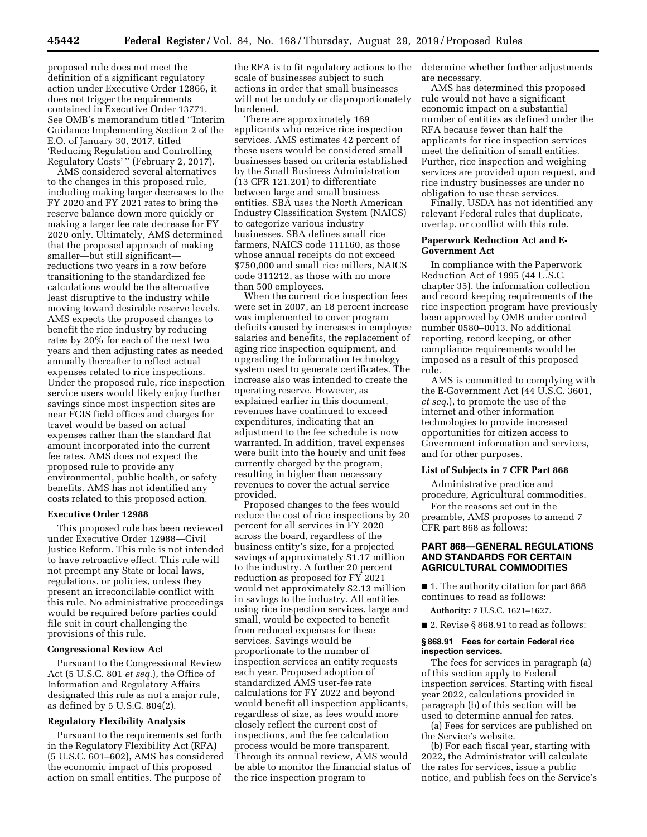proposed rule does not meet the definition of a significant regulatory action under Executive Order 12866, it does not trigger the requirements contained in Executive Order 13771. See OMB's memorandum titled ''Interim Guidance Implementing Section 2 of the E.O. of January 30, 2017, titled 'Reducing Regulation and Controlling Regulatory Costs' '' (February 2, 2017).

AMS considered several alternatives to the changes in this proposed rule, including making larger decreases to the FY 2020 and FY 2021 rates to bring the reserve balance down more quickly or making a larger fee rate decrease for FY 2020 only. Ultimately, AMS determined that the proposed approach of making smaller—but still significant reductions two years in a row before transitioning to the standardized fee calculations would be the alternative least disruptive to the industry while moving toward desirable reserve levels. AMS expects the proposed changes to benefit the rice industry by reducing rates by 20% for each of the next two years and then adjusting rates as needed annually thereafter to reflect actual expenses related to rice inspections. Under the proposed rule, rice inspection service users would likely enjoy further savings since most inspection sites are near FGIS field offices and charges for travel would be based on actual expenses rather than the standard flat amount incorporated into the current fee rates. AMS does not expect the proposed rule to provide any environmental, public health, or safety benefits. AMS has not identified any costs related to this proposed action.

#### **Executive Order 12988**

This proposed rule has been reviewed under Executive Order 12988—Civil Justice Reform. This rule is not intended to have retroactive effect. This rule will not preempt any State or local laws, regulations, or policies, unless they present an irreconcilable conflict with this rule. No administrative proceedings would be required before parties could file suit in court challenging the provisions of this rule.

#### **Congressional Review Act**

Pursuant to the Congressional Review Act (5 U.S.C. 801 *et seq.*), the Office of Information and Regulatory Affairs designated this rule as not a major rule, as defined by 5 U.S.C. 804(2).

#### **Regulatory Flexibility Analysis**

Pursuant to the requirements set forth in the Regulatory Flexibility Act (RFA) (5 U.S.C. 601–602), AMS has considered the economic impact of this proposed action on small entities. The purpose of

the RFA is to fit regulatory actions to the scale of businesses subject to such actions in order that small businesses will not be unduly or disproportionately burdened.

There are approximately 169 applicants who receive rice inspection services. AMS estimates 42 percent of these users would be considered small businesses based on criteria established by the Small Business Administration (13 CFR 121.201) to differentiate between large and small business entities. SBA uses the North American Industry Classification System (NAICS) to categorize various industry businesses. SBA defines small rice farmers, NAICS code 111160, as those whose annual receipts do not exceed \$750,000 and small rice millers, NAICS code 311212, as those with no more than 500 employees.

When the current rice inspection fees were set in 2007, an 18 percent increase was implemented to cover program deficits caused by increases in employee salaries and benefits, the replacement of aging rice inspection equipment, and upgrading the information technology system used to generate certificates. The increase also was intended to create the operating reserve. However, as explained earlier in this document, revenues have continued to exceed expenditures, indicating that an adjustment to the fee schedule is now warranted. In addition, travel expenses were built into the hourly and unit fees currently charged by the program, resulting in higher than necessary revenues to cover the actual service provided.

Proposed changes to the fees would reduce the cost of rice inspections by 20 percent for all services in FY 2020 across the board, regardless of the business entity's size, for a projected savings of approximately \$1.17 million to the industry. A further 20 percent reduction as proposed for FY 2021 would net approximately \$2.13 million in savings to the industry. All entities using rice inspection services, large and small, would be expected to benefit from reduced expenses for these services. Savings would be proportionate to the number of inspection services an entity requests each year. Proposed adoption of standardized AMS user-fee rate calculations for FY 2022 and beyond would benefit all inspection applicants, regardless of size, as fees would more closely reflect the current cost of inspections, and the fee calculation process would be more transparent. Through its annual review, AMS would be able to monitor the financial status of the rice inspection program to

determine whether further adjustments are necessary.

AMS has determined this proposed rule would not have a significant economic impact on a substantial number of entities as defined under the RFA because fewer than half the applicants for rice inspection services meet the definition of small entities. Further, rice inspection and weighing services are provided upon request, and rice industry businesses are under no obligation to use these services.

Finally, USDA has not identified any relevant Federal rules that duplicate, overlap, or conflict with this rule.

#### **Paperwork Reduction Act and E-Government Act**

In compliance with the Paperwork Reduction Act of 1995 (44 U.S.C. chapter 35), the information collection and record keeping requirements of the rice inspection program have previously been approved by OMB under control number 0580–0013. No additional reporting, record keeping, or other compliance requirements would be imposed as a result of this proposed rule.

AMS is committed to complying with the E-Government Act (44 U.S.C. 3601, *et seq.*), to promote the use of the internet and other information technologies to provide increased opportunities for citizen access to Government information and services, and for other purposes.

#### **List of Subjects in 7 CFR Part 868**

Administrative practice and procedure, Agricultural commodities.

For the reasons set out in the preamble, AMS proposes to amend 7 CFR part 868 as follows:

# **PART 868—GENERAL REGULATIONS AND STANDARDS FOR CERTAIN AGRICULTURAL COMMODITIES**

■ 1. The authority citation for part 868 continues to read as follows:

**Authority:** 7 U.S.C. 1621–1627.

■ 2. Revise § 868.91 to read as follows:

#### **§ 868.91 Fees for certain Federal rice inspection services.**

The fees for services in paragraph (a) of this section apply to Federal inspection services. Starting with fiscal year 2022, calculations provided in paragraph (b) of this section will be used to determine annual fee rates.

(a) Fees for services are published on the Service's website.

(b) For each fiscal year, starting with 2022, the Administrator will calculate the rates for services, issue a public notice, and publish fees on the Service's